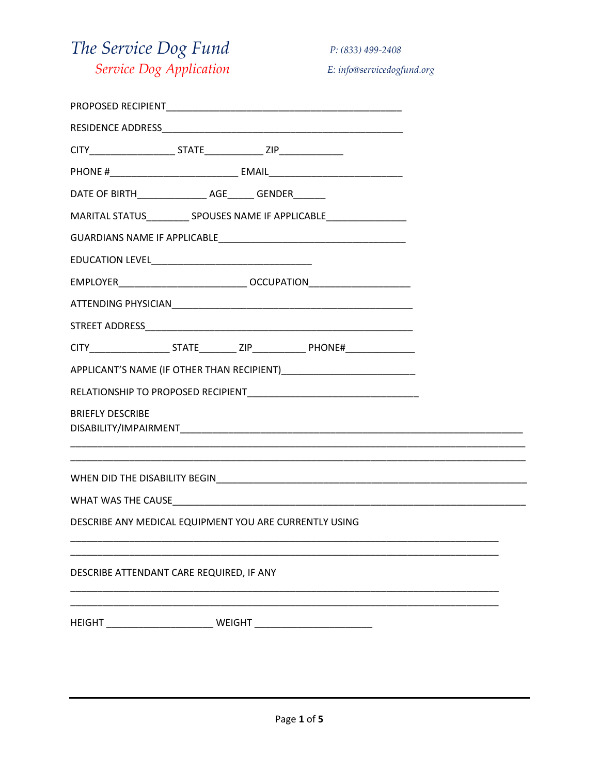## The Service Dog Fund Service Dog Application

P: (833) 499-2408

E: info@servicedogfund.org

| DATE OF BIRTH______________________ AGE________ GENDER________ |
|----------------------------------------------------------------|
| MARITAL STATUS SPOUSES NAME IF APPLICABLE                      |
|                                                                |
|                                                                |
|                                                                |
|                                                                |
|                                                                |
|                                                                |
|                                                                |
|                                                                |
| <b>BRIEFLY DESCRIBE</b>                                        |
|                                                                |
|                                                                |
| DESCRIBE ANY MEDICAL EQUIPMENT YOU ARE CURRENTLY USING         |
| DESCRIBE ATTENDANT CARE REQUIRED, IF ANY                       |
|                                                                |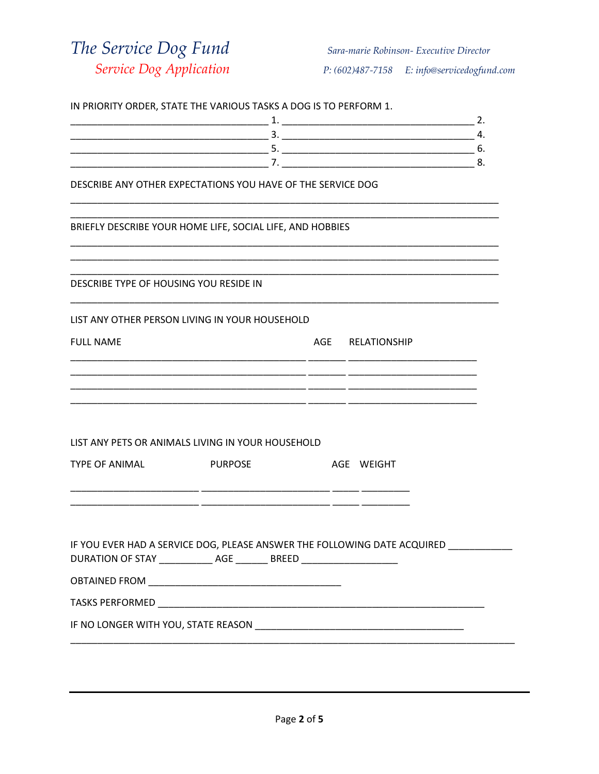The Service Dog Fund Service Dog Application

|                                                                                                                                                      | IN PRIORITY ORDER, STATE THE VARIOUS TASKS A DOG IS TO PERFORM 1. |                  | 2. |
|------------------------------------------------------------------------------------------------------------------------------------------------------|-------------------------------------------------------------------|------------------|----|
|                                                                                                                                                      |                                                                   |                  |    |
|                                                                                                                                                      |                                                                   |                  |    |
|                                                                                                                                                      |                                                                   |                  |    |
| DESCRIBE ANY OTHER EXPECTATIONS YOU HAVE OF THE SERVICE DOG                                                                                          |                                                                   |                  |    |
| BRIEFLY DESCRIBE YOUR HOME LIFE, SOCIAL LIFE, AND HOBBIES                                                                                            |                                                                   |                  |    |
| DESCRIBE TYPE OF HOUSING YOU RESIDE IN                                                                                                               |                                                                   |                  |    |
| LIST ANY OTHER PERSON LIVING IN YOUR HOUSEHOLD                                                                                                       |                                                                   |                  |    |
| <b>FULL NAME</b>                                                                                                                                     |                                                                   | AGE RELATIONSHIP |    |
|                                                                                                                                                      |                                                                   |                  |    |
| LIST ANY PETS OR ANIMALS LIVING IN YOUR HOUSEHOLD                                                                                                    |                                                                   |                  |    |
| <b>TYPE OF ANIMAL</b>                                                                                                                                | <b>PURPOSE</b>                                                    | AGE WEIGHT       |    |
|                                                                                                                                                      |                                                                   |                  |    |
| IF YOU EVER HAD A SERVICE DOG, PLEASE ANSWER THE FOLLOWING DATE ACQUIRED<br>DURATION OF STAY _____________ AGE ________ BREED ______________________ |                                                                   |                  |    |
|                                                                                                                                                      |                                                                   |                  |    |
|                                                                                                                                                      |                                                                   |                  |    |
|                                                                                                                                                      |                                                                   |                  |    |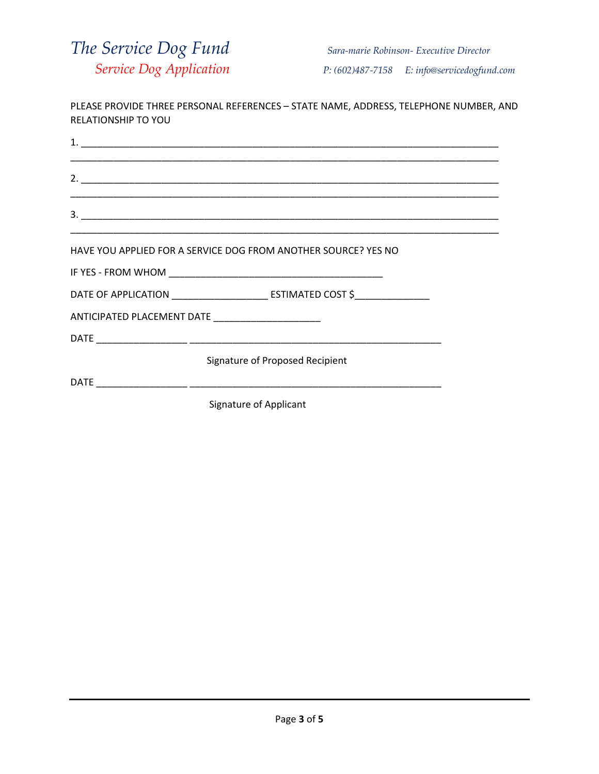

| <b>RELATIONSHIP TO YOU</b> | PLEASE PROVIDE THREE PERSONAL REFERENCES - STATE NAME, ADDRESS, TELEPHONE NUMBER, AND                               |  |
|----------------------------|---------------------------------------------------------------------------------------------------------------------|--|
|                            |                                                                                                                     |  |
|                            |                                                                                                                     |  |
|                            | <u> 1989 - John Harry Harry Harry Harry Harry Harry Harry Harry Harry Harry Harry Harry Harry Harry Harry Harry</u> |  |
|                            | HAVE YOU APPLIED FOR A SERVICE DOG FROM ANOTHER SOURCE? YES NO                                                      |  |
|                            |                                                                                                                     |  |
|                            |                                                                                                                     |  |
|                            | ANTICIPATED PLACEMENT DATE _____________________                                                                    |  |
|                            |                                                                                                                     |  |
|                            | Signature of Proposed Recipient                                                                                     |  |
|                            |                                                                                                                     |  |
|                            | Signature of Applicant                                                                                              |  |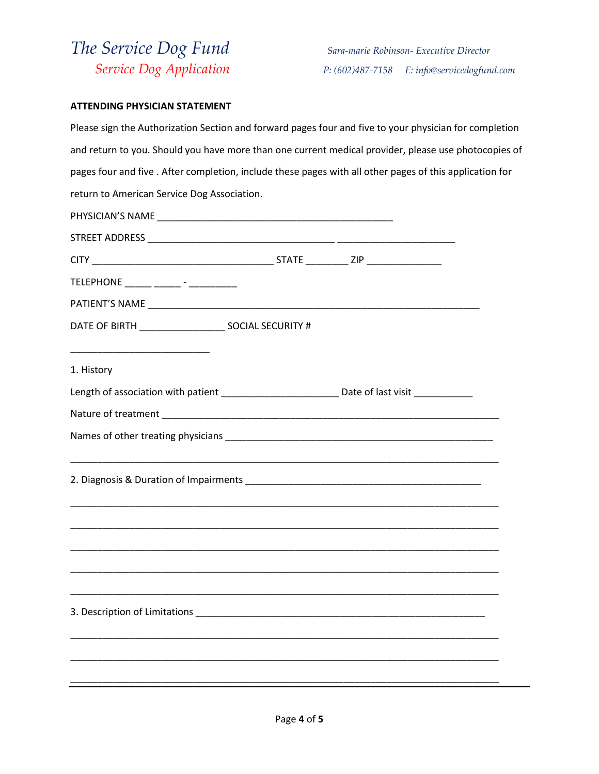## *The Service Dog Fund Sara-marie Robinson- Executive Director*

 *Service Dog Application P: (602)487-7158 E: info@servicedogfund.com* 

## **ATTENDING PHYSICIAN STATEMENT**

| Please sign the Authorization Section and forward pages four and five to your physician for completion   |                                                           |  |
|----------------------------------------------------------------------------------------------------------|-----------------------------------------------------------|--|
| and return to you. Should you have more than one current medical provider, please use photocopies of     |                                                           |  |
| pages four and five . After completion, include these pages with all other pages of this application for |                                                           |  |
| return to American Service Dog Association.                                                              |                                                           |  |
|                                                                                                          |                                                           |  |
|                                                                                                          |                                                           |  |
|                                                                                                          |                                                           |  |
| TELEPHONE ______ ______ - _________                                                                      |                                                           |  |
|                                                                                                          |                                                           |  |
|                                                                                                          |                                                           |  |
|                                                                                                          |                                                           |  |
| 1. History                                                                                               |                                                           |  |
| Length of association with patient ______________________________Date of last visit _______________      |                                                           |  |
|                                                                                                          |                                                           |  |
|                                                                                                          |                                                           |  |
|                                                                                                          | <u> 1980 - Johann Stoff, amerikansk politik (d. 1980)</u> |  |
|                                                                                                          |                                                           |  |
|                                                                                                          |                                                           |  |
|                                                                                                          |                                                           |  |
|                                                                                                          |                                                           |  |
|                                                                                                          |                                                           |  |
|                                                                                                          |                                                           |  |
| 3. Description of Limitations                                                                            |                                                           |  |
|                                                                                                          |                                                           |  |
|                                                                                                          |                                                           |  |
|                                                                                                          |                                                           |  |